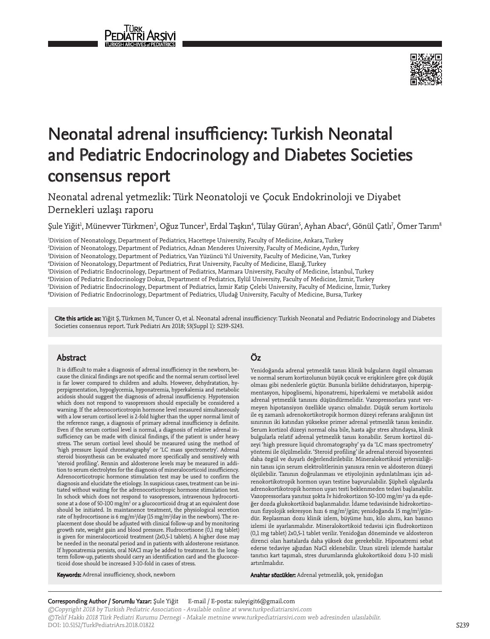

# Neonatal adrenal insufficiency: Turkish Neonatal and Pediatric Endocrinology and Diabetes Societies consensus report

Neonatal adrenal yetmezlik: Türk Neonatoloji ve Çocuk Endokrinoloji ve Diyabet Dernekleri uzlaşı raporu

Şule Yiğit<sup>ı</sup>, Münevver Türkmen<sup>2</sup>, Oğuz Tuncer<sup>3</sup>, Erdal Taşkın<sup>4</sup>, Tülay Güran<sup>5</sup>, Ayhan Abacı<sup>6</sup>, Gönül Çatlı<sup>7</sup>, Ömer Tarım<sup>8</sup>

 Division of Neonatology, Department of Pediatrics, Hacettepe University, Faculty of Medicine, Ankara, Turkey Division of Neonatology, Department of Pediatrics, Adnan Menderes University, Faculty of Medicine, Aydın, Turkey Division of Neonatology, Department of Pediatrics, Van Yüzüncü Yıl University, Faculty of Medicine, Van, Turkey Division of Neonatology, Department of Pediatrics, Fırat University, Faculty of Medicine, Elazığ, Turkey Division of Pediatric Endocrinology, Department of Pediatrics, Marmara University, Faculty of Medicine, İstanbul, Turkey Division of Pediatric Endocrinology Dokuz, Department of Pediatrics, Eylül University, Faculty of Medicine, İzmir, Turkey Division of Pediatric Endocrinology, Department of Pediatrics, İzmir Katip Çelebi University, Faculty of Medicine, İzmir, Turkey Division of Pediatric Endocrinology, Department of Pediatrics, Uludağ University, Faculty of Medicine, Bursa, Turkey

Cite this article as: Yiğit Ş, Türkmen M, Tuncer O, et al. Neonatal adrenal insufficiency: Turkish Neonatal and Pediatric Endocrinology and Diabetes Societies consensus report. Turk Pediatri Ars 2018; 53(Suppl 1): S239-S243.

### Abstract

It is difficult to make a diagnosis of adrenal insufficiency in the newborn, because the clinical findings are not specific and the normal serum cortisol level is far lower compared to children and adults. However, dehydratation, hyperpigmentation, hypoglycemia, hyponatremia, hyperkalemia and metabolic acidosis should suggest the diagnosis of adrenal insufficiency. Hypotension which does not respond to vasopressors should especially be considered a warning. If the adrenocorticotropin hormone level measured simultaneously with a low serum cortisol level is 2-fold higher than the upper normal limit of the reference range, a diagnosis of primary adrenal insufficiency is definite. Even if the serum cortisol level is normal, a diagnosis of relative adrenal insufficiency can be made with clinical findings, if the patient is under heavy stress. The serum cortisol level should be measured using the method of 'high pressure liquid chromatography' or 'LC mass spectrometry'. Adrenal steroid biosynthesis can be evaluated more specifically and sensitively with 'steroid profiling'. Rennin and aldosterone levels may be measured in addition to serum electrolytes for the diagnosis of mineralocorticoid insufficiency. Adrenocorticotropic hormone stimulation test may be used to confirm the diagnosis and elucidate the etiology. In suspicious cases, treatment can be initiated without waiting for the adrenocorticotropic hormone stimulation test. In schock which does not respond to vasopressors, intravenous hydrocortisone at a dose of 50-100 mg/m<sup>2</sup> or a glucocorticoid drug at an equivalent dose should be initiated. In maintanence treatment, the physiological secretion rate of hydrocortisone is 6 mg/m²/day (15 mg/m²/day in the newborn). The replacement dose should be adjusted with clinical follow-up and by monitoring growth rate, weight gain and blood pressure. Fludrocortisone (0,1 mg tablet) is given for mineralocorticoid treatment (2x0,5-1 tablets). A higher dose may be needed in the neonatal period and in patients with aldosterone resistance. If hyponatremia persists, oral NACl may be added to treatment. In the longterm follow-up, patients should carry an identification card and the glucocorticoid dose should be increased 3-10-fold in cases of stress.

# Öz

Yenidoğanda adrenal yetmezlik tanısı klinik bulguların özgül olmaması ve normal serum kortizolunun büyük çocuk ve erişkinlere göre çok düşük olması gibi nedenlerle güçtür. Bununla birlikte dehidratasyon, hiperpigmentasyon, hipoglisemi, hiponatremi, hiperkalemi ve metabolik asidoz adrenal yetmezlik tanısını düşündürmelidir. Vazopressorlara yanıt vermeyen hipotansiyon özellikle uyarıcı olmalıdır. Düşük serum kortizolu ile eş zamanlı adrenokortikotropik hormon düzeyi referans aralığının üst sınırının iki katından yüksekse primer adrenal yetmezlik tanısı kesindir. Serum kortizol düzeyi normal olsa bile, hasta ağır stres altındaysa, klinik bulgularla relatif adrenal yetmezlik tanısı konabilir. Serum kortizol düzeyi 'high pressure liquid chromatography' ya da 'LC mass spectrometry' yöntemi ile ölçülmelidir. 'Steroid profiling' ile adrenal steroid biyosentezi daha özgül ve duyarlı değerlendirilebilir. Mineralokortikoid yetersizliğinin tanısı için serum elektrolitlerinin yanısıra renin ve aldosteron düzeyi ölçülebilir. Tanının doğrulanması ve etiyolojinin aydınlatılması için adrenokortikotropik hormon uyarı testine başvurulabilir. Şüpheli olgularda adrenokortikotropik hormon uyarı testi beklenmeden tedavi başlanabilir. Vazopressorlara yanıtsız şokta Iv hidrokortizon 50-100 mg/m<sup>2</sup> ya da eşdeğer dozda glukokortikoid başlanmalıdır. İdame tedavisinde hidrokortizonun fizyolojik sekresyon hızı 6 mg/m $^{2}$ /gün; yenidoğanda 15 mg/m $^{2}$ /gündür. Replasman dozu klinik izlem, büyüme hızı, kilo alımı, kan basıncı izlemi ile ayarlanmalıdır. Mineralokortikoid tedavisi için fludrokortizon (0,1 mg tablet) 2x0,5-1 tablet verilir. Yenidoğan döneminde ve aldosteron direnci olan hastalarda daha yüksek doz gerekebilir. Hiponatremi sebat ederse tedaviye ağızdan NaCl eklenebilir. Uzun süreli izlemde hastalar tanıtıcı kart taşımalı, stres durumlarında glukokortikoid dozu 3-10 misli artırılmalıdır.

Keywords: Adrenal insufficiency, shock, newborn

Anahtar sözcükler: Adrenal yetmezlik, şok, yenidoğan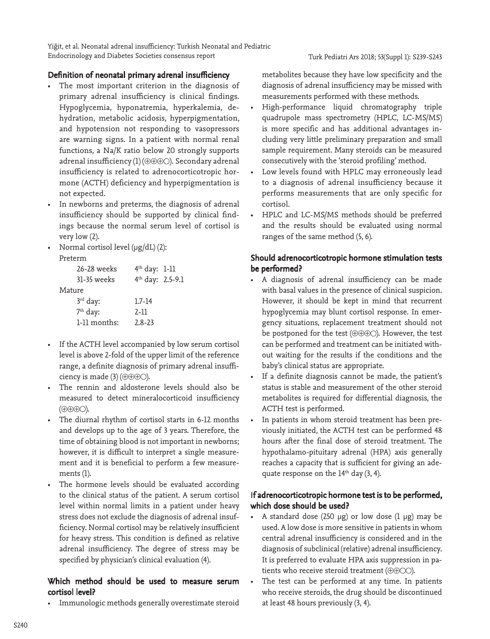Yiğit, et al. Neonatal adrenal insufficiency: Turkish Neonatal and Pediatric Endocrinology and Diabetes Societies consensus report

#### Turk Pediatri Ars 2018; 53(Suppl 1): S239-S243

#### Definition of neonatal primary adrenal insufficiency

- The most important criterion in the diagnosis of primary adrenal insufficiency is clinical findings. Hypoglycemia, hyponatremia, hyperkalemia, dehydration, metabolic acidosis, hyperpigmentation, and hypotension not responding to vasopressors are warning signs. In a patient with normal renal functions, a Na/K ratio below 20 strongly supports adrenal insufficiency (1) (⊕⊕⊕ ). Secondary adrenal insufficiency is related to adrenocorticotropic hormone (ACTH) deficiency and hyperpigmentation is not expected.
- In newborns and preterms, the diagnosis of adrenal insufficiency should be supported by clinical findings because the normal serum level of cortisol is very low (2).
- Normal cortisol level (μg/dL) (2):

|        | 26-28 weeks          | $4th$ day: 1-11              |  |
|--------|----------------------|------------------------------|--|
|        | 31-35 weeks          | 4 <sup>th</sup> day: 2.5-9.1 |  |
| Mature |                      |                              |  |
|        | $3rd$ day:           | $1.7 - 14$                   |  |
|        | 7 <sup>th</sup> day: | 2-11                         |  |
|        | 1-11 months:         | $2.8 - 23$                   |  |

- If the ACTH level accompanied by low serum cortisol level is above 2-fold of the upper limit of the reference range, a definite diagnosis of primary adrenal insufficiency is made (3) (⊕⊕⊕ ).
- The rennin and aldosterone levels should also be measured to detect mineralocorticoid insufficiency (⊕⊕⊕ ).
- The diurnal rhythm of cortisol starts in 6-12 months and develops up to the age of 3 years. Therefore, the time of obtaining blood is not important in newborns; however, it is difficult to interpret a single measurement and it is beneficial to perform a few measurements (1).
- The hormone levels should be evaluated according to the clinical status of the patient. A serum cortisol level within normal limits in a patient under heavy stress does not exclude the diagnosis of adrenal insufficiency. Normal cortisol may be relatively insufficient for heavy stress. This condition is defined as relative adrenal insufficiency. The degree of stress may be specified by physician's clinical evaluation (4).

## Which method should be used to measure serum cortisol level?

• Immunologic methods generally overestimate steroid

metabolites because they have low specificity and the diagnosis of adrenal insufficiency may be missed with measurements performed with these methods.

- High-performance liquid chromatography triple quadrupole mass spectrometry (HPLC, LC-MS/MS) is more specific and has additional advantages including very little preliminary preparation and small sample requirement. Many steroids can be measured consecutively with the 'steroid profiling' method.
- Low levels found with HPLC may erroneously lead to a diagnosis of adrenal insufficiency because it performs measurements that are only specific for cortisol.
- HPLC and LC-MS/MS methods should be preferred and the results should be evaluated using normal ranges of the same method (5, 6).

## Should adrenocorticotropic hormone stimulation tests be performed?

- A diagnosis of adrenal insufficiency can be made with basal values in the presence of clinical suspicion. However, it should be kept in mind that recurrent hypoglycemia may blunt cortisol response. In emergency situations, replacement treatment should not be postponed for the test (⊕⊕⊕ ). However, the test can be performed and treatment can be initiated without waiting for the results if the conditions and the baby's clinical status are appropriate.
- If a definite diagnosis cannot be made, the patient's status is stable and measurement of the other steroid metabolites is required for differential diagnosis, the ACTH test is performed.
- In patients in whom steroid treatment has been previously initiated, the ACTH test can be performed 48 hours after the final dose of steroid treatment. The hypothalamo-pituitary adrenal (HPA) axis generally reaches a capacity that is sufficient for giving an adequate response on the  $14<sup>th</sup>$  day (3, 4).

## If adrenocorticotropic hormone test is to be performed, which dose should be used?

- A standard dose  $(250 \text{ µg})$  or low dose  $(1 \text{ µg})$  may be used. A low dose is more sensitive in patients in whom central adrenal insufficiency is considered and in the diagnosis of subclinical (relative) adrenal insufficiency. It is preferred to evaluate HPA axis suppression in patients who receive steroid treatment (⊕⊕ $\circ$ O).
- The test can be performed at any time. In patients who receive steroids, the drug should be discontinued at least 48 hours previously (3, 4).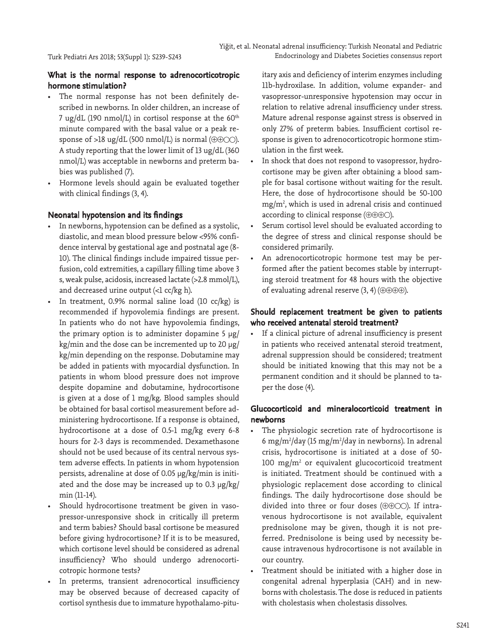# What is the normal response to adrenocorticotropic hormone stimulation?

- The normal response has not been definitely described in newborns. In older children, an increase of 7 ug/dL (190 nmol/L) in cortisol response at the  $60<sup>th</sup>$ minute compared with the basal value or a peak response of >18 ug/dL (500 nmol/L) is normal ( $\oplus \oplus \odot \odot$ ). A study reporting that the lower limit of 13 ug/dL (360 nmol/L) was acceptable in newborns and preterm babies was published (7).
- Hormone levels should again be evaluated together with clinical findings (3, 4).

## Neonatal hypotension and its findings

- In newborns, hypotension can be defined as a systolic, diastolic, and mean blood pressure below <95% confidence interval by gestational age and postnatal age (8- 10). The clinical findings include impaired tissue perfusion, cold extremities, a capillary filling time above 3 s, weak pulse, acidosis, increased lactate (>2.8 mmol/L), and decreased urine output (<1 cc/kg h).
- In treatment, 0.9% normal saline load (10 cc/kg) is recommended if hypovolemia findings are present. In patients who do not have hypovolemia findings, the primary option is to administer dopamine 5  $\mu$ g/  $kg/min$  and the dose can be incremented up to 20  $\mu$ g/ kg/min depending on the response. Dobutamine may be added in patients with myocardial dysfunction. In patients in whom blood pressure does not improve despite dopamine and dobutamine, hydrocortisone is given at a dose of 1 mg/kg. Blood samples should be obtained for basal cortisol measurement before administering hydrocortisone. If a response is obtained, hydrocortisone at a dose of 0.5-1 mg/kg every 6-8 hours for 2-3 days is recommended. Dexamethasone should not be used because of its central nervous system adverse effects. In patients in whom hypotension persists, adrenaline at dose of 0.05 µg/kg/min is initiated and the dose may be increased up to 0.3 µg/kg/ min (11-14).
- Should hydrocortisone treatment be given in vasopressor-unresponsive shock in critically ill preterm and term babies? Should basal cortisone be measured before giving hydrocortisone? If it is to be measured, which cortisone level should be considered as adrenal insufficiency? Who should undergo adrenocorticotropic hormone tests?
- In preterms, transient adrenocortical insufficiency may be observed because of decreased capacity of cortisol synthesis due to immature hypothalamo-pitu-

itary axis and deficiency of interim enzymes including 11b-hydroxilase. In addition, volume expander- and vasopressor-unresponsive hypotension may occur in relation to relative adrenal insufficiency under stress. Mature adrenal response against stress is observed in only 27% of preterm babies. Insufficient cortisol response is given to adrenocorticotropic hormone stimulation in the first week.

- In shock that does not respond to vasopressor, hydrocortisone may be given after obtaining a blood sample for basal cortisone without waiting for the result. Here, the dose of hydrocortisone should be 50-100  $mg/m<sup>2</sup>$ , which is used in adrenal crisis and continued according to clinical response (⊕⊕⊕ ).
- Serum cortisol level should be evaluated according to the degree of stress and clinical response should be considered primarily.
- An adrenocorticotropic hormone test may be performed after the patient becomes stable by interrupting steroid treatment for 48 hours with the objective of evaluating adrenal reserve (3, 4) (⊕⊕⊕⊕).

# Should replacement treatment be given to patients who received antenatal steroid treatment?

If a clinical picture of adrenal insufficiency is present in patients who received antenatal steroid treatment, adrenal suppression should be considered; treatment should be initiated knowing that this may not be a permanent condition and it should be planned to taper the dose (4).

# Glucocorticoid and mineralocorticoid treatment in newborns

- The physiologic secretion rate of hydrocortisone is 6 mg/m<sup>2</sup>/day (15 mg/m<sup>2</sup>/day in newborns). In adrenal crisis, hydrocortisone is initiated at a dose of 50-  $100$  mg/m<sup>2</sup> or equivalent glucocorticoid treatment is initiated. Treatment should be continued with a physiologic replacement dose according to clinical findings. The daily hydrocortisone dose should be divided into three or four doses ( $\oplus \oplus \odot \odot$ ). If intravenous hydrocortisone is not available, equivalent prednisolone may be given, though it is not preferred. Prednisolone is being used by necessity because intravenous hydrocortisone is not available in our country.
- Treatment should be initiated with a higher dose in congenital adrenal hyperplasia (CAH) and in newborns with cholestasis. The dose is reduced in patients with cholestasis when cholestasis dissolves.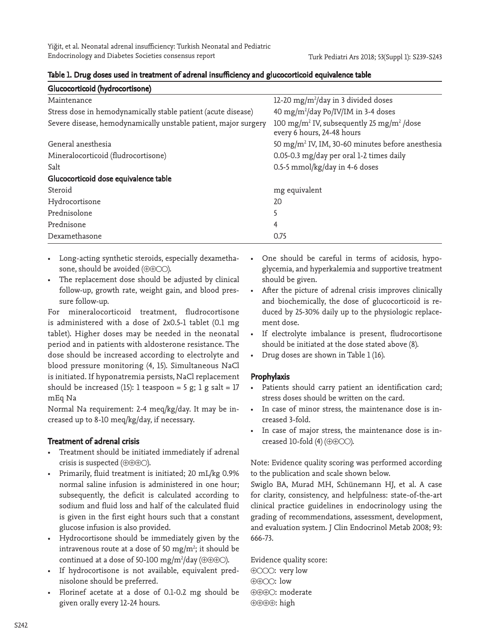Yiğit, et al. Neonatal adrenal insufficiency: Turkish Neonatal and Pediatric Endocrinology and Diabetes Societies consensus report

| Glucocorticoid (hydrocortisone)                                 |                                                                                                 |
|-----------------------------------------------------------------|-------------------------------------------------------------------------------------------------|
| Maintenance                                                     | 12-20 mg/m <sup>2</sup> /day in 3 divided doses                                                 |
| Stress dose in hemodynamically stable patient (acute disease)   | 40 mg/m <sup>2</sup> /day Po/IV/IM in 3-4 doses                                                 |
| Severe disease, hemodynamically unstable patient, major surgery | 100 mg/m <sup>2</sup> IV, subsequently 25 mg/m <sup>2</sup> /dose<br>every 6 hours, 24-48 hours |
| General anesthesia                                              | 50 mg/m <sup>2</sup> IV, IM, 30-60 minutes before anesthesia                                    |
| Mineralocorticoid (fludrocortisone)                             | 0.05-0.3 mg/day per oral 1-2 times daily                                                        |
| Salt                                                            | 0.5-5 mmol/kg/day in 4-6 doses                                                                  |
| Glucocorticoid dose equivalence table                           |                                                                                                 |
| Steroid                                                         | mg equivalent                                                                                   |
| Hydrocortisone                                                  | 20                                                                                              |
| Prednisolone                                                    | 5                                                                                               |
| Prednisone                                                      | 4                                                                                               |
| Dexamethasone                                                   | 0.75                                                                                            |

#### Table 1. Drug doses used in treatment of adrenal insufficiency and glucocorticoid equivalence table

- Long-acting synthetic steroids, especially dexamethasone, should be avoided (⊕⊕○○).
- The replacement dose should be adjusted by clinical follow-up, growth rate, weight gain, and blood pressure follow-up.

For mineralocorticoid treatment, fludrocortisone is administered with a dose of 2x0.5-1 tablet (0.1 mg tablet). Higher doses may be needed in the neonatal period and in patients with aldosterone resistance. The dose should be increased according to electrolyte and blood pressure monitoring (4, 15). Simultaneous NaCl is initiated. If hyponatremia persists, NaCl replacement should be increased (15): 1 teaspoon = 5 g; 1 g salt = 17 mEq Na

Normal Na requirement: 2-4 meq/kg/day. It may be increased up to 8-10 meq/kg/day, if necessary.

## Treatment of adrenal crisis

- Treatment should be initiated immediately if adrenal crisis is suspected (⊕⊕⊕ ).
- Primarily, fluid treatment is initiated; 20 mL/kg 0.9% normal saline infusion is administered in one hour; subsequently, the deficit is calculated according to sodium and fluid loss and half of the calculated fluid is given in the first eight hours such that a constant glucose infusion is also provided.
- Hydrocortisone should be immediately given by the intravenous route at a dose of 50 mg/m<sup>2</sup>; it should be continued at a dose of 50-100 mg/m²/day (⊕⊕⊕⊝).
- If hydrocortisone is not available, equivalent prednisolone should be preferred.
- Florinef acetate at a dose of 0.1-0.2 mg should be given orally every 12-24 hours.
- One should be careful in terms of acidosis, hypoglycemia, and hyperkalemia and supportive treatment should be given.
- After the picture of adrenal crisis improves clinically and biochemically, the dose of glucocorticoid is reduced by 25-30% daily up to the physiologic replacement dose.
- If electrolyte imbalance is present, fludrocortisone should be initiated at the dose stated above (8).
- Drug doses are shown in Table 1 (16).

### Prophylaxis

- Patients should carry patient an identification card; stress doses should be written on the card.
- In case of minor stress, the maintenance dose is increased 3-fold.
- In case of major stress, the maintenance dose is increased 10-fold (4) ( $\oplus \oplus \odot \odot$ ).

Note: Evidence quality scoring was performed according to the publication and scale shown below.

Swiglo BA, Murad MH, Schünemann HJ, et al. A case for clarity, consistency, and helpfulness: state-of-the-art clinical practice guidelines in endocrinology using the grading of recommendations, assessment, development, and evaluation system. J Clin Endocrinol Metab 2008; 93: 666-73.

Evidence quality score:  $\oplus$   $\odot$   $\odot$  : very low  $\oplus \oplus \odot \odot$ : low ⊕⊕⊕ : moderate ⊕⊕⊕⊕: high